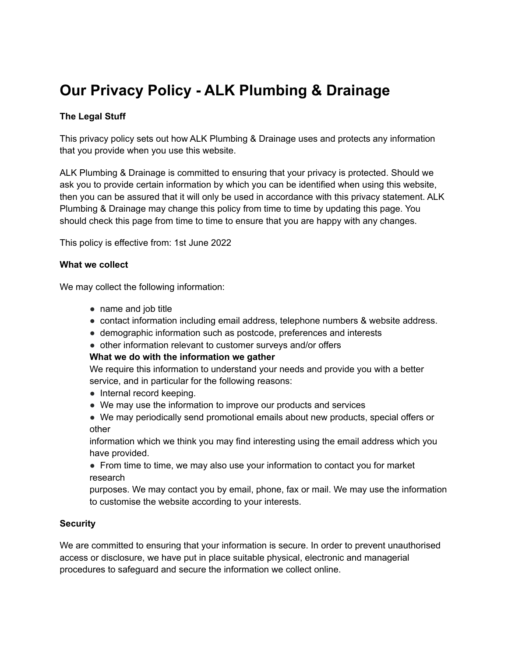# **Our Privacy Policy - ALK Plumbing & Drainage**

# **The Legal Stuff**

This privacy policy sets out how ALK Plumbing & Drainage uses and protects any information that you provide when you use this website.

ALK Plumbing & Drainage is committed to ensuring that your privacy is protected. Should we ask you to provide certain information by which you can be identified when using this website, then you can be assured that it will only be used in accordance with this privacy statement. ALK Plumbing & Drainage may change this policy from time to time by updating this page. You should check this page from time to time to ensure that you are happy with any changes.

This policy is effective from: 1st June 2022

## **What we collect**

We may collect the following information:

- name and job title
- contact information including email address, telephone numbers & website address.
- demographic information such as postcode, preferences and interests
- other information relevant to customer surveys and/or offers

## **What we do with the information we gather**

We require this information to understand your needs and provide you with a better service, and in particular for the following reasons:

- Internal record keeping.
- We may use the information to improve our products and services
- We may periodically send promotional emails about new products, special offers or other

information which we think you may find interesting using the email address which you have provided.

● From time to time, we may also use your information to contact you for market research

purposes. We may contact you by email, phone, fax or mail. We may use the information to customise the website according to your interests.

## **Security**

We are committed to ensuring that your information is secure. In order to prevent unauthorised access or disclosure, we have put in place suitable physical, electronic and managerial procedures to safeguard and secure the information we collect online.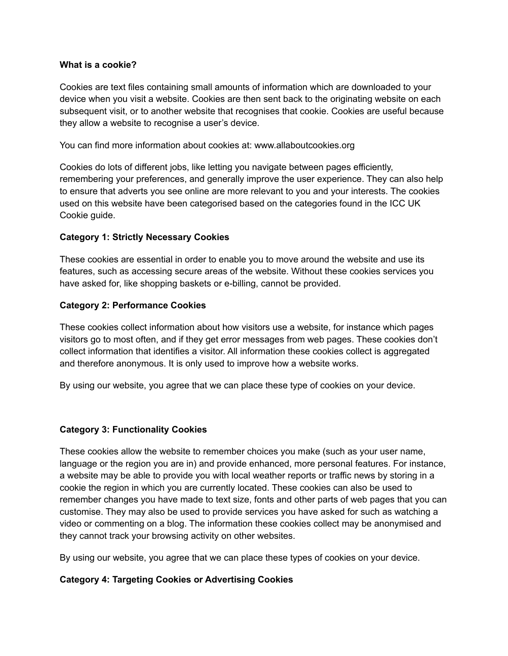#### **What is a cookie?**

Cookies are text files containing small amounts of information which are downloaded to your device when you visit a website. Cookies are then sent back to the originating website on each subsequent visit, or to another website that recognises that cookie. Cookies are useful because they allow a website to recognise a user's device.

You can find more information about cookies at: www.allaboutcookies.org

Cookies do lots of different jobs, like letting you navigate between pages efficiently, remembering your preferences, and generally improve the user experience. They can also help to ensure that adverts you see online are more relevant to you and your interests. The cookies used on this website have been categorised based on the categories found in the ICC UK Cookie guide.

## **Category 1: Strictly Necessary Cookies**

These cookies are essential in order to enable you to move around the website and use its features, such as accessing secure areas of the website. Without these cookies services you have asked for, like shopping baskets or e-billing, cannot be provided.

#### **Category 2: Performance Cookies**

These cookies collect information about how visitors use a website, for instance which pages visitors go to most often, and if they get error messages from web pages. These cookies don't collect information that identifies a visitor. All information these cookies collect is aggregated and therefore anonymous. It is only used to improve how a website works.

By using our website, you agree that we can place these type of cookies on your device.

#### **Category 3: Functionality Cookies**

These cookies allow the website to remember choices you make (such as your user name, language or the region you are in) and provide enhanced, more personal features. For instance, a website may be able to provide you with local weather reports or traffic news by storing in a cookie the region in which you are currently located. These cookies can also be used to remember changes you have made to text size, fonts and other parts of web pages that you can customise. They may also be used to provide services you have asked for such as watching a video or commenting on a blog. The information these cookies collect may be anonymised and they cannot track your browsing activity on other websites.

By using our website, you agree that we can place these types of cookies on your device.

#### **Category 4: Targeting Cookies or Advertising Cookies**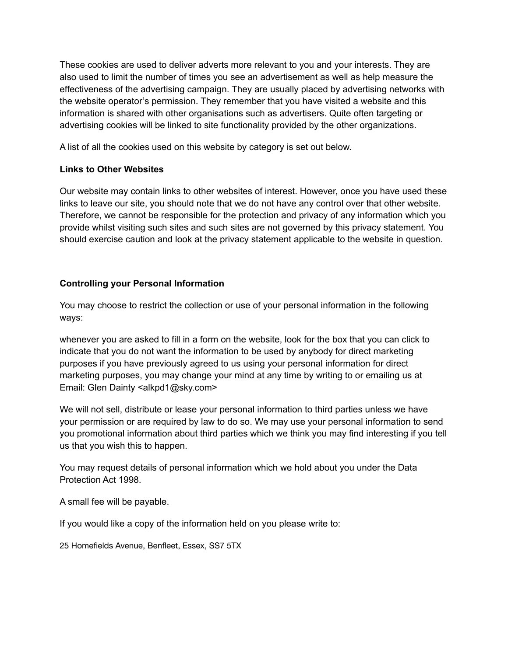These cookies are used to deliver adverts more relevant to you and your interests. They are also used to limit the number of times you see an advertisement as well as help measure the effectiveness of the advertising campaign. They are usually placed by advertising networks with the website operator's permission. They remember that you have visited a website and this information is shared with other organisations such as advertisers. Quite often targeting or advertising cookies will be linked to site functionality provided by the other organizations.

A list of all the cookies used on this website by category is set out below.

## **Links to Other Websites**

Our website may contain links to other websites of interest. However, once you have used these links to leave our site, you should note that we do not have any control over that other website. Therefore, we cannot be responsible for the protection and privacy of any information which you provide whilst visiting such sites and such sites are not governed by this privacy statement. You should exercise caution and look at the privacy statement applicable to the website in question.

# **Controlling your Personal Information**

You may choose to restrict the collection or use of your personal information in the following ways:

whenever you are asked to fill in a form on the website, look for the box that you can click to indicate that you do not want the information to be used by anybody for direct marketing purposes if you have previously agreed to us using your personal information for direct marketing purposes, you may change your mind at any time by writing to or emailing us at Email: Glen Dainty <alkpd1@sky.com>

We will not sell, distribute or lease your personal information to third parties unless we have your permission or are required by law to do so. We may use your personal information to send you promotional information about third parties which we think you may find interesting if you tell us that you wish this to happen.

You may request details of personal information which we hold about you under the Data Protection Act 1998.

A small fee will be payable.

If you would like a copy of the information held on you please write to:

25 Homefields Avenue, Benfleet, Essex, SS7 5TX